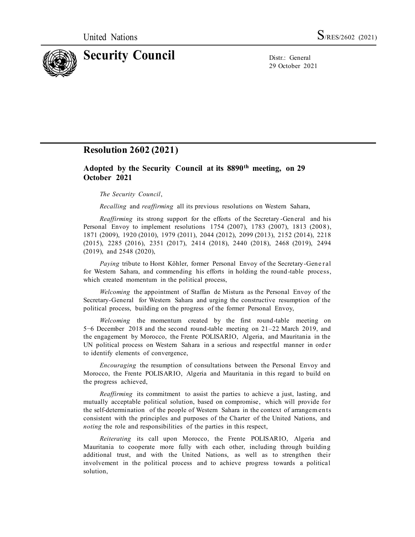

29 October 2021

## **Resolution 2602 (2021)**

## **Adopted by the Security Council at its 8890th meeting, on 29 October 2021**

## *The Security Council*,

*Recalling* and *reaffirming* all its previous resolutions on Western Sahara,

*Reaffirming* its strong support for the efforts of the Secretary -General and his Personal Envoy to implement resolutions 1754 (2007), 1783 (2007), 1813 (2008), 1871 (2009), 1920 (2010), 1979 (2011), 2044 (2012), 2099 (2013), 2152 (2014), 2218 (2015), 2285 (2016), 2351 (2017), 2414 (2018), 2440 (2018), 2468 (2019), 2494 (2019), and 2548 (2020),

*Paying* tribute to Horst Köhler, former Personal Envoy of the Secretary-Gene r al for Western Sahara, and commending his efforts in holding the round -table process, which created momentum in the political process,

*Welcoming* the appointment of Staffan de Mistura as the Personal Envoy of the Secretary-General for Western Sahara and urging the constructive resumption of the political process, building on the progress of the former Personal Envoy,

*Welcoming* the momentum created by the first round-table meeting on 5−6 December 2018 and the second round-table meeting on 21–22 March 2019, and the engagement by Morocco, the Frente POLISARIO, Algeria, and Mauritania in the UN political process on Western Sahara in a serious and respectful manner in order to identify elements of convergence,

*Encouraging* the resumption of consultations between the Personal Envoy and Morocco, the Frente POLISARIO, Algeria and Mauritania in this regard to build on the progress achieved,

*Reaffirming* its commitment to assist the parties to achieve a just, lasting, and mutually acceptable political solution, based on compromise, which will provide for the self-determination of the people of Western Sahara in the context of arrangem ents consistent with the principles and purposes of the Charter of the United Nations, and *noting* the role and responsibilities of the parties in this respect,

*Reiterating* its call upon Morocco, the Frente POLISARIO, Algeria and Mauritania to cooperate more fully with each other, including through building additional trust, and with the United Nations, as well as to strengthen their involvement in the political process and to achieve progress towards a political solution,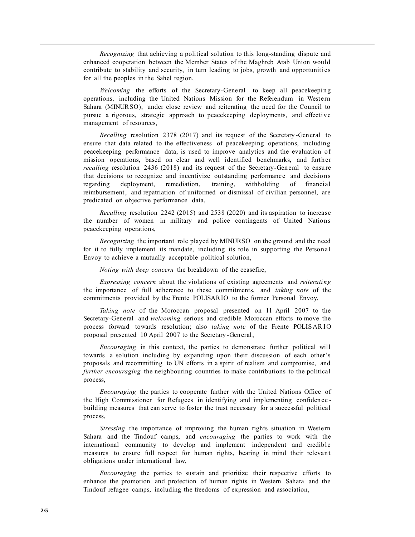*Recognizing* that achieving a political solution to this long-standing dispute and enhanced cooperation between the Member States of the Maghreb Arab Union would contribute to stability and security, in turn leading to jobs, growth and opportunities for all the peoples in the Sahel region,

*Welcoming* the efforts of the Secretary-General to keep all peacekeeping operations, including the United Nations Mission for the Referendum in Western Sahara (MINURSO), under close review and reiterating the need for the Council to pursue a rigorous, strategic approach to peacekeeping deployments, and effective management of resources,

*Recalling* resolution 2378 (2017) and its request of the Secretary -General to ensure that data related to the effectiveness of peacekeeping operations, including peacekeeping performance data, is used to improve analytics and the evaluation of mission operations, based on clear and well identified benchmarks, and further *recalling* resolution 2436 (2018) and its request of the Secretary-General to ensure that decisions to recognize and incentivize outstanding performance and decisions regarding deployment, remediation, training, withholding of financial reimbursement, and repatriation of uniformed or dismissal of civilian personnel, are predicated on objective performance data,

*Recalling* resolution 2242 (2015) and 2538 (2020) and its aspiration to increase the number of women in military and police contingents of United Nations peacekeeping operations,

*Recognizing* the important role played by MINURSO on the ground and the need for it to fully implement its mandate, including its role in supporting the Personal Envoy to achieve a mutually acceptable political solution,

*Noting with deep concern* the breakdown of the ceasefire,

*Expressing concern* about the violations of existing agreements and *reiterating* the importance of full adherence to these commitments, and *taking note* of the commitments provided by the Frente POLISARIO to the former Personal Envoy,

*Taking note* of the Moroccan proposal presented on 11 April 2007 to the Secretary-General and *welcoming* serious and credible Moroccan efforts to move the process forward towards resolution; also *taking note* of the Frente POLISARIO proposal presented 10 April 2007 to the Secretary -General,

*Encouraging* in this context, the parties to demonstrate further political will towards a solution including by expanding upon their discussion of each other's proposals and recommitting to UN efforts in a spirit of realism and compromise, and *further encouraging* the neighbouring countries to make contributions to the political process,

*Encouraging* the parties to cooperate further with the United Nations Office of the High Commissioner for Refugees in identifying and implementing confidence building measures that can serve to foster the trust necessary for a successful political process,

*Stressing* the importance of improving the human rights situation in Western Sahara and the Tindouf camps, and *encouraging* the parties to work with the international community to develop and implement independent and credible measures to ensure full respect for human rights, bearing in mind their relevant obligations under international law,

*Encouraging* the parties to sustain and prioritize their respective efforts to enhance the promotion and protection of human rights in Western Sahara and the Tindouf refugee camps, including the freedoms of expression and association,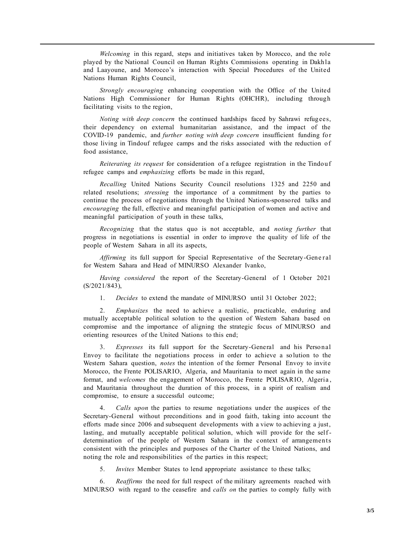*Welcoming* in this regard, steps and initiatives taken by Morocco, and the role played by the National Council on Human Rights Commissions operating in Dakhla and Laayoune, and Morocco's interaction with Special Procedures of the United Nations Human Rights Council,

*Strongly encouraging* enhancing cooperation with the Office of the United Nations High Commissioner for Human Rights (OHCHR), including through facilitating visits to the region,

*Noting with deep concern* the continued hardships faced by Sahrawi refugees, their dependency on external humanitarian assistance, and the impact of the COVID-19 pandemic, and *further noting with deep concern* insufficient funding for those living in Tindouf refugee camps and the risks associated with the reduction of food assistance,

*Reiterating its request* for consideration of a refugee registration in the Tindouf refugee camps and *emphasizing* efforts be made in this regard,

*Recalling* United Nations Security Council resolutions 1325 and 2250 and related resolutions; *stressing* the importance of a commitment by the parties to continue the process of negotiations through the United Nations-sponsored talks and *encouraging* the full, effective and meaningful participation of women and active and meaningful participation of youth in these talks,

*Recognizing* that the status quo is not acceptable, and *noting further* that progress in negotiations is essential in order to improve the quality of life of the people of Western Sahara in all its aspects,

*Affirming* its full support for Special Representative of the Secretary-General for Western Sahara and Head of MINURSO Alexander Ivanko,

*Having considered* the report of the Secretary-General of 1 October 2021 (S/2021/843),

1. *Decides* to extend the mandate of MINURSO until 31 October 2022;

2. *Emphasizes* the need to achieve a realistic, practicable, enduring and mutually acceptable political solution to the question of Western Sahara based on compromise and the importance of aligning the strategic focus of MINURSO and orienting resources of the United Nations to this end;

3. *Expresses* its full support for the Secretary-General and his Personal Envoy to facilitate the negotiations process in order to achieve a so lution to the Western Sahara question, *notes* the intention of the former Personal Envoy to invite Morocco, the Frente POLISARIO, Algeria, and Mauritania to meet again in the same format, and *welcomes* the engagement of Morocco, the Frente POLISARIO, Algeria , and Mauritania throughout the duration of this process, in a spirit of realism and compromise, to ensure a successful outcome;

4. *Calls upon* the parties to resume negotiations under the auspices of the Secretary-General without preconditions and in good faith, taking into account the efforts made since 2006 and subsequent developments with a view to achieving a just, lasting, and mutually acceptable political solution, which will provide for the selfdetermination of the people of Western Sahara in the context of arrangements consistent with the principles and purposes of the Charter of the United Nations, and noting the role and responsibilities of the parties in this respect;

5. *Invites* Member States to lend appropriate assistance to these talks;

6. *Reaffirms* the need for full respect of the military agreements reached with MINURSO with regard to the ceasefire and *calls on* the parties to comply fully with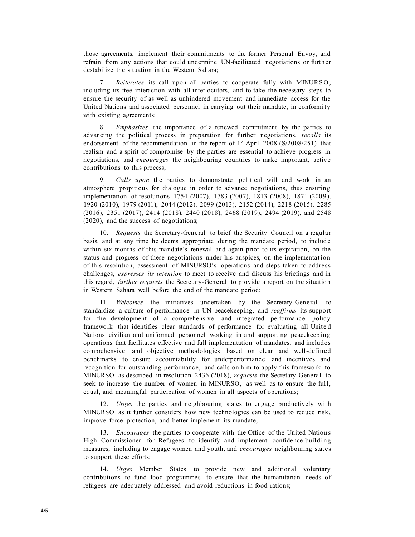those agreements, implement their commitments to the former Personal Envoy, and refrain from any actions that could undermine UN-facilitated negotiations or further destabilize the situation in the Western Sahara;

7. *Reiterates* its call upon all parties to cooperate fully with MINURS O, including its free interaction with all interlocutors, and to take the necessary steps to ensure the security of as well as unhindered movement and immediate access for the United Nations and associated personnel in carrying out their mandate, in conformity with existing agreements;

8. *Emphasizes* the importance of a renewed commitment by the parties to advancing the political process in preparation for further negotiations, *recalls* its endorsement of the recommendation in the report of 14 April 2008 (S/2008/251) that realism and a spirit of compromise by the parties are essential to achieve progress in negotiations, and *encourages* the neighbouring countries to make important, active contributions to this process;

9. *Calls upon* the parties to demonstrate political will and work in an atmosphere propitious for dialogue in order to advance negotiations, thus ensuring implementation of resolutions 1754 (2007), 1783 (2007), 1813 (2008), 1871 (2009), 1920 (2010), 1979 (2011), 2044 (2012), 2099 (2013), 2152 (2014), 2218 (2015), 2285 (2016), 2351 (2017), 2414 (2018), 2440 (2018), 2468 (2019), 2494 (2019), and 2548 (2020), and the success of negotiations;

10. *Requests* the Secretary-General to brief the Security Council on a regular basis, and at any time he deems appropriate during the mandate period, to include within six months of this mandate's renewal and again prior to its expiration, on the status and progress of these negotiations under his auspices, on the implementation of this resolution, assessment of MINURSO's operations and steps taken to address challenges, *expresses its intention* to meet to receive and discuss his briefings and in this regard, *further requests* the Secretary-General to provide a report on the situation in Western Sahara well before the end of the mandate period;

11. *Welcomes* the initiatives undertaken by the Secretary-General to standardize a culture of performance in UN peacekeeping, and *reaffirms* its support for the development of a comprehensive and integrated performance policy framework that identifies clear standards of performance for evaluating all Unite d Nations civilian and uniformed personnel working in and supporting peacekeeping operations that facilitates effective and full implementation of mandates, and includes comprehensive and objective methodologies based on clear and well-defined benchmarks to ensure accountability for underperformance and incentives and recognition for outstanding performance, and calls on him to apply this framework to MINURSO as described in resolution 2436 (2018), *requests* the Secretary-General to seek to increase the number of women in MINURSO, as well as to ensure the full, equal, and meaningful participation of women in all aspects of operations;

12. *Urges* the parties and neighbouring states to engage productively with MINURSO as it further considers how new technologies can be used to reduce risk, improve force protection, and better implement its mandate;

13. *Encourages* the parties to cooperate with the Office of the United Nations High Commissioner for Refugees to identify and implement confidence-building measures, including to engage women and youth, and *encourages* neighbouring states to support these efforts;

14. *Urges* Member States to provide new and additional voluntary contributions to fund food programmes to ensure that the humanitarian needs of refugees are adequately addressed and avoid reductions in food rations;